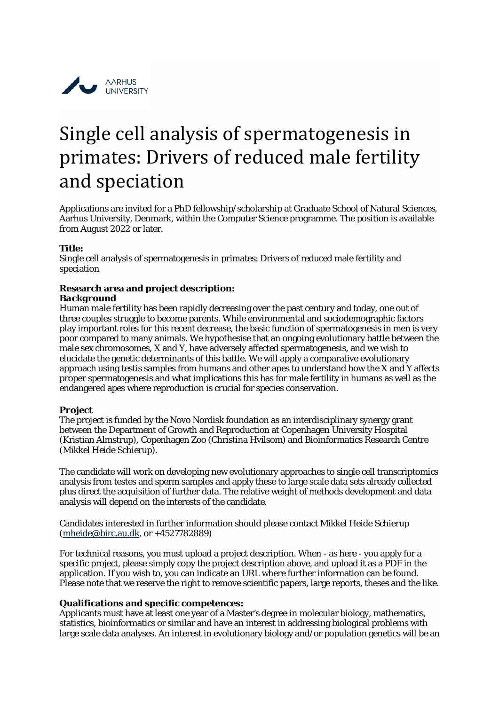

# Single cell analysis of spermatogenesis in primates: Drivers of reduced male fertility and speciation

Applications are invited for a PhD fellowship/scholarship at Graduate School of Natural Sciences, Aarhus University, Denmark, within the Computer Science programme. The position is available from August 2022 or later.

# **Title:**

Single cell analysis of spermatogenesis in primates: Drivers of reduced male fertility and speciation

# **Research area and project description:**

#### *Background*

Human male fertility has been rapidly decreasing over the past century and today, one out of three couples struggle to become parents. While environmental and sociodemographic factors play important roles for this recent decrease, the basic function of spermatogenesis in men is very poor compared to many animals. We hypothesise that an ongoing evolutionary battle between the male sex chromosomes, X and Y, have adversely affected spermatogenesis, and we wish to elucidate the genetic determinants of this battle. We will apply a comparative evolutionary approach using testis samples from humans and other apes to understand how the X and Y affects proper spermatogenesis and what implications this has for male fertility in humans as well as the endangered apes where reproduction is crucial for species conservation.

#### *Project*

The project is funded by the Novo Nordisk foundation as an interdisciplinary synergy grant between the Department of Growth and Reproduction at Copenhagen University Hospital (Kristian Almstrup), Copenhagen Zoo (Christina Hvilsom) and Bioinformatics Research Centre (Mikkel Heide Schierup).

The candidate will work on developing new evolutionary approaches to single cell transcriptomics analysis from testes and sperm samples and apply these to large scale data sets already collected plus direct the acquisition of further data. The relative weight of methods development and data analysis will depend on the interests of the candidate.

Candidates interested in further information should please contact Mikkel Heide Schierup [\(mheide@birc.au.dk,](mailto:mheide@birc.au.dk) or +4527782889)

For technical reasons, you must upload a project description. When - as here - you apply for a specific project, please simply copy the project description above, and upload it as a PDF in the application. If you wish to, you can indicate an URL where further information can be found. Please note that we reserve the right to remove scientific papers, large reports, theses and the like.

#### **Qualifications and specific competences:**

Applicants must have at least one year of a Master's degree in molecular biology, mathematics, statistics, bioinformatics or similar and have an interest in addressing biological problems with large scale data analyses. An interest in evolutionary biology and/or population genetics will be an